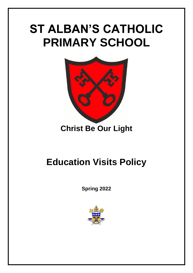## **ST ALBAN'S CATHOLIC PRIMARY SCHOOL**



## **Christ Be Our Light**

## **Education Visits Policy**

**Spring 2022**

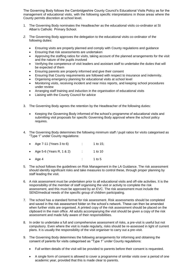The Governing Body follows the Cambridgeshire County Council's Educational Visits Policy as for the management of educational visits, with the following specific interpretations in those areas where the County permits discretion at school level.

- 1. The Governing Body nominates the Headteacher as the educational visits co-ordinator at St Alban's Catholic Primary School.
- *2.* The Governing Body approves the delegation to the educational visits co-ordinator of the following duties:
	- Ensuring visits are properly planned and comply with County regulations and guidance
	- Ensuring that risk assessments are undertaken
	- Approving the staffing ratios for visits, taking account of the planned arrangements for the visit and the nature of the pupils involved
	- Verifying the competence of visit leaders and assistant staff to undertake the duties that will be expected of them
	- Ensuring parents are properly informed and give their consent
	- Ensuring that County requirements are followed with respect to insurance and indemnity.
	- Organising emergency planning for educational visits at school level
	- Monitoring visits, receiving incident and near miss reports, and keeping school procedures under review
	- Arranging staff training and induction in the organisation of educational visits
	- Liaising with the County Council for advice
- 3. The Governing Body agrees the retention by the Headteacher of the following duties:
	- Keeping the Governing Body informed of the school's programme of educational visits and submitting visit proposals for specific Governing Body approval where the school policy requires.
- 4. The Governing Body determines the following minimum staff / pupil ratios for visits categorised as "Type 1" under County regulations:

| • Age $7-11$ (Years 3 to 6) | ÷     | 1 to 15; |
|-----------------------------|-------|----------|
| • Age 5-6 (Years R, 1 & 2)  | diam. | 1 to 10  |
| $\bullet$ Age 4             |       | 1 to 5   |

- 5. The school follows the guidelines on Risk Management in the LA Guidance. The risk assessment should identify significant risks and take measures to control these, through proper planning by staff leading the visit.
- 6. A risk assessment must be undertaken prior to all educational visits and off-site activities. It is the responsibility of the member of staff organising the visit or activity to complete the risk assessment, and this must be approved by an EVC. The risk assessment must include the SEND/medical needs of the specific group of children participating.
- 7. The school has a standard format for risk assessment. Risk assessments should be completed and saved in the risk assessment folder on the school's network. These can then be amended when further visits are organised. A printed copy of the risk assessment should be placed on the clipboard in the main office. All adults accompanying the visit should be given a copy of the risk assessment and made fully aware of their responsibilities.
- 8. In order to undertake a full and comprehensive assessment of risks, a pre-visit is useful but not compulsory. Even where the visit is made regularly, risks should be re-assessed in light of current plans. It is usually the responsibility of the visit organiser to carry out a pre-visit.
- 9. The Governing Body determines the following arrangements for informing and obtaining the consent of parents for visits categorised as "Type 1" under County regulations:
	- Full written details of the visit will be provided to parents before their consent is requested.
	- A single form of consent is allowed to cover a programme of similar visits over a period of one academic year, provided that this is made clear to parents.